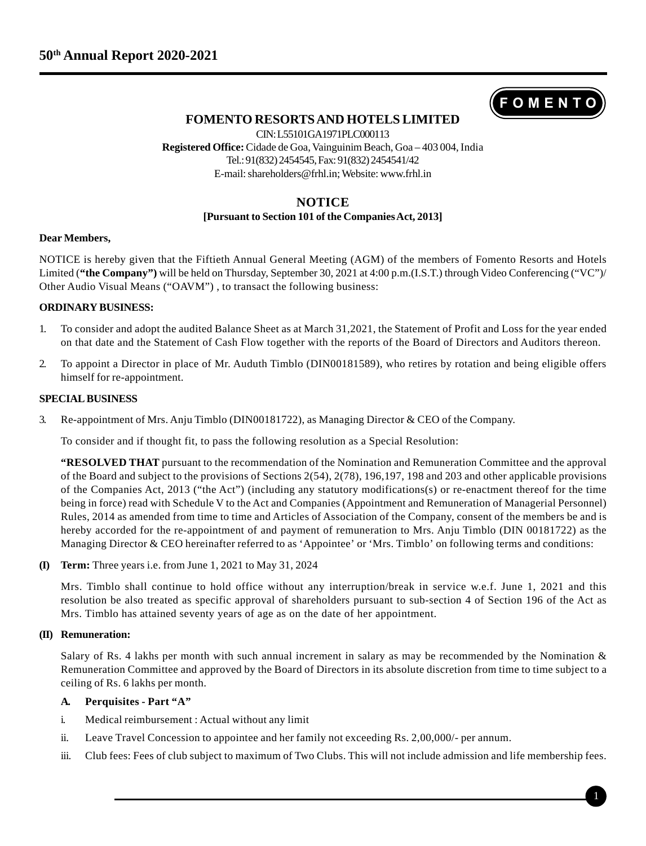

# **FOMENTO RESORTS AND HOTELS LIMITED**

CIN: L55101GA1971PLC000113 **Registered Office:** Cidade de Goa, Vainguinim Beach, Goa – 403 004, India Tel.: 91(832) 2454545, Fax: 91(832) 2454541/42 E-mail: shareholders@frhl.in; Website: www.frhl.in

# **NOTICE**

## **[Pursuant to Section 101 of the Companies Act, 2013]**

### **Dear Members,**

NOTICE is hereby given that the Fiftieth Annual General Meeting (AGM) of the members of Fomento Resorts and Hotels Limited (**"the Company")** will be held on Thursday, September 30, 2021 at 4:00 p.m.(I.S.T.) through Video Conferencing ("VC")/ Other Audio Visual Means ("OAVM") , to transact the following business:

## **ORDINARY BUSINESS:**

- 1. To consider and adopt the audited Balance Sheet as at March 31,2021, the Statement of Profit and Loss for the year ended on that date and the Statement of Cash Flow together with the reports of the Board of Directors and Auditors thereon.
- 2. To appoint a Director in place of Mr. Auduth Timblo (DIN00181589), who retires by rotation and being eligible offers himself for re-appointment.

### **SPECIAL BUSINESS**

3. Re-appointment of Mrs. Anju Timblo (DIN00181722), as Managing Director & CEO of the Company.

To consider and if thought fit, to pass the following resolution as a Special Resolution:

**"RESOLVED THAT** pursuant to the recommendation of the Nomination and Remuneration Committee and the approval of the Board and subject to the provisions of Sections 2(54), 2(78), 196,197, 198 and 203 and other applicable provisions of the Companies Act, 2013 ("the Act") (including any statutory modifications(s) or re-enactment thereof for the time being in force) read with Schedule V to the Act and Companies (Appointment and Remuneration of Managerial Personnel) Rules, 2014 as amended from time to time and Articles of Association of the Company, consent of the members be and is hereby accorded for the re-appointment of and payment of remuneration to Mrs. Anju Timblo (DIN 00181722) as the Managing Director & CEO hereinafter referred to as 'Appointee' or 'Mrs. Timblo' on following terms and conditions:

**(I) Term:** Three years i.e. from June 1, 2021 to May 31, 2024

Mrs. Timblo shall continue to hold office without any interruption/break in service w.e.f. June 1, 2021 and this resolution be also treated as specific approval of shareholders pursuant to sub-section 4 of Section 196 of the Act as Mrs. Timblo has attained seventy years of age as on the date of her appointment.

### **(II) Remuneration:**

Salary of Rs. 4 lakhs per month with such annual increment in salary as may be recommended by the Nomination & Remuneration Committee and approved by the Board of Directors in its absolute discretion from time to time subject to a ceiling of Rs. 6 lakhs per month.

## **A. Perquisites - Part "A"**

- i. Medical reimbursement : Actual without any limit
- ii. Leave Travel Concession to appointee and her family not exceeding Rs. 2,00,000/- per annum.
- iii. Club fees: Fees of club subject to maximum of Two Clubs. This will not include admission and life membership fees.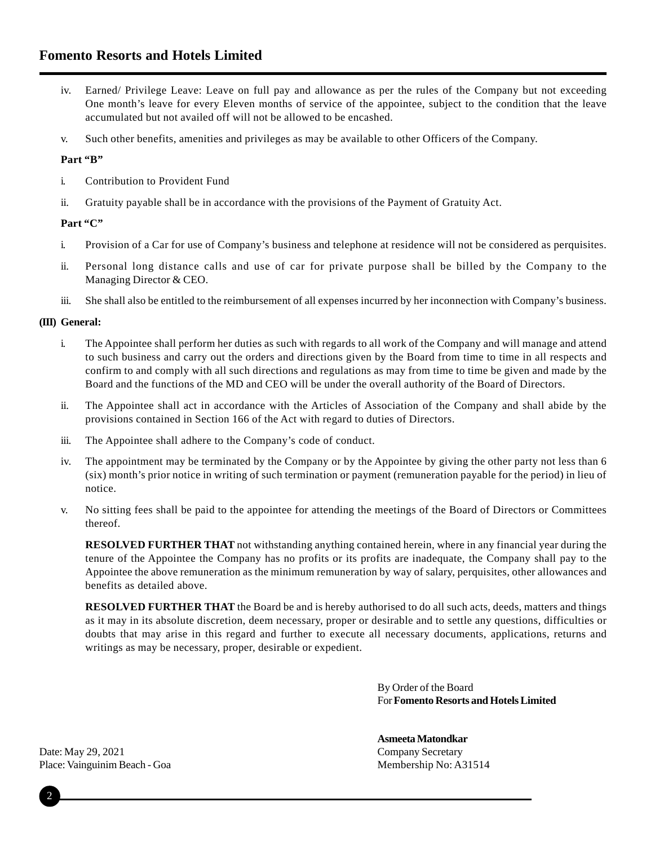# **Fomento Resorts and Hotels Limited**

- iv. Earned/ Privilege Leave: Leave on full pay and allowance as per the rules of the Company but not exceeding One month's leave for every Eleven months of service of the appointee, subject to the condition that the leave accumulated but not availed off will not be allowed to be encashed.
- v. Such other benefits, amenities and privileges as may be available to other Officers of the Company.

## Part "B"

- i. Contribution to Provident Fund
- ii. Gratuity payable shall be in accordance with the provisions of the Payment of Gratuity Act.

### Part "C"

- i. Provision of a Car for use of Company's business and telephone at residence will not be considered as perquisites.
- ii. Personal long distance calls and use of car for private purpose shall be billed by the Company to the Managing Director & CEO.
- iii. She shall also be entitled to the reimbursement of all expenses incurred by her inconnection with Company's business.

### **(III) General:**

- i. The Appointee shall perform her duties as such with regards to all work of the Company and will manage and attend to such business and carry out the orders and directions given by the Board from time to time in all respects and confirm to and comply with all such directions and regulations as may from time to time be given and made by the Board and the functions of the MD and CEO will be under the overall authority of the Board of Directors.
- ii. The Appointee shall act in accordance with the Articles of Association of the Company and shall abide by the provisions contained in Section 166 of the Act with regard to duties of Directors.
- iii. The Appointee shall adhere to the Company's code of conduct.
- iv. The appointment may be terminated by the Company or by the Appointee by giving the other party not less than 6 (six) month's prior notice in writing of such termination or payment (remuneration payable for the period) in lieu of notice.
- v. No sitting fees shall be paid to the appointee for attending the meetings of the Board of Directors or Committees thereof.

**RESOLVED FURTHER THAT** not withstanding anything contained herein, where in any financial year during the tenure of the Appointee the Company has no profits or its profits are inadequate, the Company shall pay to the Appointee the above remuneration as the minimum remuneration by way of salary, perquisites, other allowances and benefits as detailed above.

**RESOLVED FURTHER THAT** the Board be and is hereby authorised to do all such acts, deeds, matters and things as it may in its absolute discretion, deem necessary, proper or desirable and to settle any questions, difficulties or doubts that may arise in this regard and further to execute all necessary documents, applications, returns and writings as may be necessary, proper, desirable or expedient.

> By Order of the Board For **Fomento Resorts and Hotels Limited**

# **Asmeeta Matondkar**

Date: May 29, 2021 Company Secretary Place: Vainguinim Beach - Goa Membership No: A31514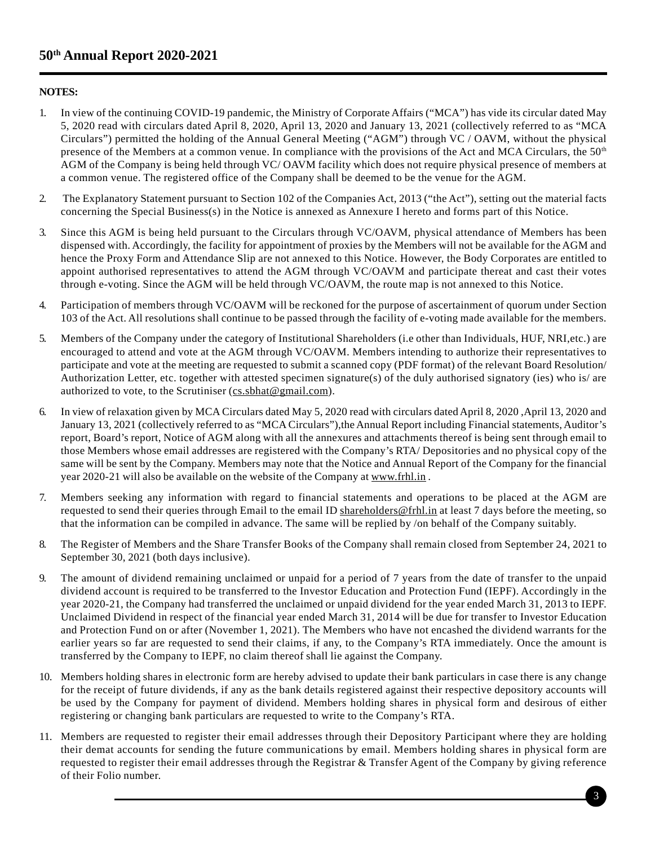# **NOTES:**

- 1. In view of the continuing COVID-19 pandemic, the Ministry of Corporate Affairs ("MCA") has vide its circular dated May 5, 2020 read with circulars dated April 8, 2020, April 13, 2020 and January 13, 2021 (collectively referred to as "MCA Circulars") permitted the holding of the Annual General Meeting ("AGM") through VC / OAVM, without the physical presence of the Members at a common venue. In compliance with the provisions of the Act and MCA Circulars, the  $50<sup>th</sup>$ AGM of the Company is being held through VC/ OAVM facility which does not require physical presence of members at a common venue. The registered office of the Company shall be deemed to be the venue for the AGM.
- 2. The Explanatory Statement pursuant to Section 102 of the Companies Act, 2013 ("the Act"), setting out the material facts concerning the Special Business(s) in the Notice is annexed as Annexure I hereto and forms part of this Notice.
- 3. Since this AGM is being held pursuant to the Circulars through VC/OAVM, physical attendance of Members has been dispensed with. Accordingly, the facility for appointment of proxies by the Members will not be available for the AGM and hence the Proxy Form and Attendance Slip are not annexed to this Notice. However, the Body Corporates are entitled to appoint authorised representatives to attend the AGM through VC/OAVM and participate thereat and cast their votes through e-voting. Since the AGM will be held through VC/OAVM, the route map is not annexed to this Notice.
- 4. Participation of members through VC/OAVM will be reckoned for the purpose of ascertainment of quorum under Section 103 of the Act. All resolutions shall continue to be passed through the facility of e-voting made available for the members.
- 5. Members of the Company under the category of Institutional Shareholders (i.e other than Individuals, HUF, NRI,etc.) are encouraged to attend and vote at the AGM through VC/OAVM. Members intending to authorize their representatives to participate and vote at the meeting are requested to submit a scanned copy (PDF format) of the relevant Board Resolution/ Authorization Letter, etc. together with attested specimen signature(s) of the duly authorised signatory (ies) who is/ are authorized to vote, to the Scrutiniser (cs.sbhat@gmail.com).
- 6. In view of relaxation given by MCA Circulars dated May 5, 2020 read with circulars dated April 8, 2020 ,April 13, 2020 and January 13, 2021 (collectively referred to as "MCA Circulars"),the Annual Report including Financial statements, Auditor's report, Board's report, Notice of AGM along with all the annexures and attachments thereof is being sent through email to those Members whose email addresses are registered with the Company's RTA/ Depositories and no physical copy of the same will be sent by the Company. Members may note that the Notice and Annual Report of the Company for the financial year 2020-21 will also be available on the website of the Company at www.frhl.in .
- 7. Members seeking any information with regard to financial statements and operations to be placed at the AGM are requested to send their queries through Email to the email ID shareholders@frhl.in at least 7 days before the meeting, so that the information can be compiled in advance. The same will be replied by /on behalf of the Company suitably.
- 8. The Register of Members and the Share Transfer Books of the Company shall remain closed from September 24, 2021 to September 30, 2021 (both days inclusive).
- 9. The amount of dividend remaining unclaimed or unpaid for a period of 7 years from the date of transfer to the unpaid dividend account is required to be transferred to the Investor Education and Protection Fund (IEPF). Accordingly in the year 2020-21, the Company had transferred the unclaimed or unpaid dividend for the year ended March 31, 2013 to IEPF. Unclaimed Dividend in respect of the financial year ended March 31, 2014 will be due for transfer to Investor Education and Protection Fund on or after (November 1, 2021). The Members who have not encashed the dividend warrants for the earlier years so far are requested to send their claims, if any, to the Company's RTA immediately. Once the amount is transferred by the Company to IEPF, no claim thereof shall lie against the Company.
- 10. Members holding shares in electronic form are hereby advised to update their bank particulars in case there is any change for the receipt of future dividends, if any as the bank details registered against their respective depository accounts will be used by the Company for payment of dividend. Members holding shares in physical form and desirous of either registering or changing bank particulars are requested to write to the Company's RTA.
- 11. Members are requested to register their email addresses through their Depository Participant where they are holding their demat accounts for sending the future communications by email. Members holding shares in physical form are requested to register their email addresses through the Registrar & Transfer Agent of the Company by giving reference of their Folio number.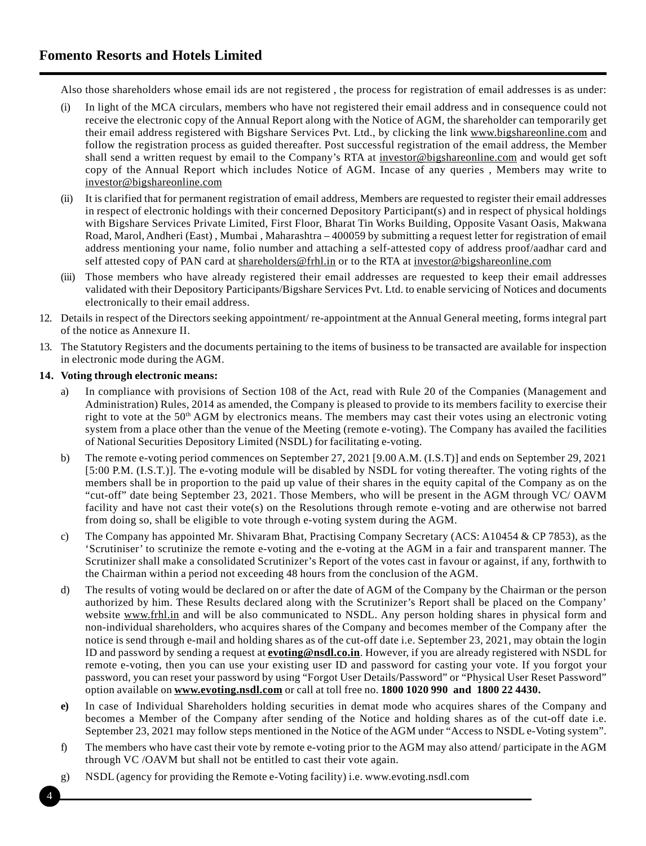# **Fomento Resorts and Hotels Limited**

Also those shareholders whose email ids are not registered , the process for registration of email addresses is as under:

- (i) In light of the MCA circulars, members who have not registered their email address and in consequence could not receive the electronic copy of the Annual Report along with the Notice of AGM, the shareholder can temporarily get their email address registered with Bigshare Services Pvt. Ltd., by clicking the link www.bigshareonline.com and follow the registration process as guided thereafter. Post successful registration of the email address, the Member shall send a written request by email to the Company's RTA at investor@bigshareonline.com and would get soft copy of the Annual Report which includes Notice of AGM. Incase of any queries , Members may write to investor@bigshareonline.com
- (ii) It is clarified that for permanent registration of email address, Members are requested to register their email addresses in respect of electronic holdings with their concerned Depository Participant(s) and in respect of physical holdings with Bigshare Services Private Limited, First Floor, Bharat Tin Works Building, Opposite Vasant Oasis, Makwana Road, Marol, Andheri (East) , Mumbai , Maharashtra – 400059 by submitting a request letter for registration of email address mentioning your name, folio number and attaching a self-attested copy of address proof/aadhar card and self attested copy of PAN card at shareholders@frhl.in or to the RTA at investor@bigshareonline.com
- (iii) Those members who have already registered their email addresses are requested to keep their email addresses validated with their Depository Participants/Bigshare Services Pvt. Ltd. to enable servicing of Notices and documents electronically to their email address.
- 12. Details in respect of the Directors seeking appointment/ re-appointment at the Annual General meeting, forms integral part of the notice as Annexure II.
- 13. The Statutory Registers and the documents pertaining to the items of business to be transacted are available for inspection in electronic mode during the AGM.

### **14. Voting through electronic means:**

- a) In compliance with provisions of Section 108 of the Act, read with Rule 20 of the Companies (Management and Administration) Rules, 2014 as amended, the Company is pleased to provide to its members facility to exercise their right to vote at the  $50<sup>th</sup>$  AGM by electronics means. The members may cast their votes using an electronic voting system from a place other than the venue of the Meeting (remote e-voting). The Company has availed the facilities of National Securities Depository Limited (NSDL) for facilitating e-voting.
- b) The remote e-voting period commences on September 27, 2021 [9.00 A.M. (I.S.T)] and ends on September 29, 2021 [5:00 P.M. (I.S.T.)]. The e-voting module will be disabled by NSDL for voting thereafter. The voting rights of the members shall be in proportion to the paid up value of their shares in the equity capital of the Company as on the "cut-off" date being September 23, 2021. Those Members, who will be present in the AGM through VC/ OAVM facility and have not cast their vote(s) on the Resolutions through remote e-voting and are otherwise not barred from doing so, shall be eligible to vote through e-voting system during the AGM.
- c) The Company has appointed Mr. Shivaram Bhat, Practising Company Secretary (ACS: A10454 & CP 7853), as the 'Scrutiniser' to scrutinize the remote e-voting and the e-voting at the AGM in a fair and transparent manner. The Scrutinizer shall make a consolidated Scrutinizer's Report of the votes cast in favour or against, if any, forthwith to the Chairman within a period not exceeding 48 hours from the conclusion of the AGM.
- d) The results of voting would be declared on or after the date of AGM of the Company by the Chairman or the person authorized by him. These Results declared along with the Scrutinizer's Report shall be placed on the Company' website www.frhl.in and will be also communicated to NSDL. Any person holding shares in physical form and non-individual shareholders, who acquires shares of the Company and becomes member of the Company after the notice is send through e-mail and holding shares as of the cut-off date i.e. September 23, 2021, may obtain the login ID and password by sending a request at **evoting@nsdl.co.in**. However, if you are already registered with NSDL for remote e-voting, then you can use your existing user ID and password for casting your vote. If you forgot your password, you can reset your password by using "Forgot User Details/Password" or "Physical User Reset Password" option available on **www.evoting.nsdl.com** or call at toll free no. **1800 1020 990 and 1800 22 4430.**
- **e)** In case of Individual Shareholders holding securities in demat mode who acquires shares of the Company and becomes a Member of the Company after sending of the Notice and holding shares as of the cut-off date i.e. September 23, 2021 may follow steps mentioned in the Notice of the AGM under "Access to NSDL e-Voting system".
- f) The members who have cast their vote by remote e-voting prior to the AGM may also attend/ participate in the AGM through VC /OAVM but shall not be entitled to cast their vote again.
- g) NSDL (agency for providing the Remote e-Voting facility) i.e. www.evoting.nsdl.com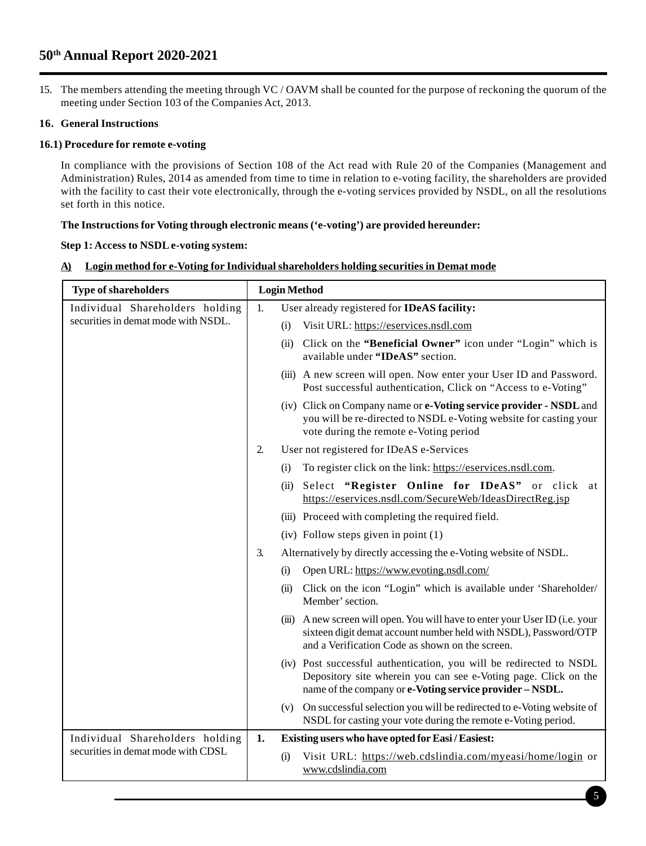# **50th Annual Report 2020-2021**

15. The members attending the meeting through VC / OAVM shall be counted for the purpose of reckoning the quorum of the meeting under Section 103 of the Companies Act, 2013.

# **16. General Instructions**

## **16.1) Procedure for remote e-voting**

In compliance with the provisions of Section 108 of the Act read with Rule 20 of the Companies (Management and Administration) Rules, 2014 as amended from time to time in relation to e-voting facility, the shareholders are provided with the facility to cast their vote electronically, through the e-voting services provided by NSDL, on all the resolutions set forth in this notice.

# **The Instructions for Voting through electronic means ('e-voting') are provided hereunder:**

## **Step 1: Access to NSDL e-voting system:**

|  | A) Login method for e-Voting for Individual shareholders holding securities in Demat mode |  |
|--|-------------------------------------------------------------------------------------------|--|
|  |                                                                                           |  |

| <b>Type of shareholders</b>         |    | <b>Login Method</b>                                                                                                                                                                                 |  |  |
|-------------------------------------|----|-----------------------------------------------------------------------------------------------------------------------------------------------------------------------------------------------------|--|--|
| Individual Shareholders holding     | 1. | User already registered for IDeAS facility:                                                                                                                                                         |  |  |
| securities in demat mode with NSDL. |    | Visit URL: https://eservices.nsdl.com<br>(i)                                                                                                                                                        |  |  |
|                                     |    | Click on the "Beneficial Owner" icon under "Login" which is<br>(ii)<br>available under "IDeAS" section.                                                                                             |  |  |
|                                     |    | (iii) A new screen will open. Now enter your User ID and Password.<br>Post successful authentication, Click on "Access to e-Voting"                                                                 |  |  |
|                                     |    | (iv) Click on Company name or e-Voting service provider - NSDL and<br>you will be re-directed to NSDL e-Voting website for casting your<br>vote during the remote e-Voting period                   |  |  |
|                                     | 2. | User not registered for IDeAS e-Services                                                                                                                                                            |  |  |
|                                     |    | To register click on the link: https://eservices.nsdl.com.<br>(i)                                                                                                                                   |  |  |
|                                     |    | (ii) Select "Register Online for IDeAS" or click at<br>https://eservices.nsdl.com/SecureWeb/IdeasDirectReg.jsp                                                                                      |  |  |
|                                     |    | (iii) Proceed with completing the required field.                                                                                                                                                   |  |  |
|                                     |    | $(iv)$ Follow steps given in point $(1)$                                                                                                                                                            |  |  |
|                                     |    | Alternatively by directly accessing the e-Voting website of NSDL.                                                                                                                                   |  |  |
|                                     |    | Open URL: https://www.evoting.nsdl.com/<br>(i)                                                                                                                                                      |  |  |
|                                     |    | Click on the icon "Login" which is available under 'Shareholder/<br>(ii)<br>Member' section.                                                                                                        |  |  |
|                                     |    | (iii) A new screen will open. You will have to enter your User ID (i.e. your<br>sixteen digit demat account number held with NSDL), Password/OTP<br>and a Verification Code as shown on the screen. |  |  |
|                                     |    | (iv) Post successful authentication, you will be redirected to NSDL<br>Depository site wherein you can see e-Voting page. Click on the<br>name of the company or e-Voting service provider - NSDL.  |  |  |
|                                     |    | (v) On successful selection you will be redirected to e-Voting website of<br>NSDL for casting your vote during the remote e-Voting period.                                                          |  |  |
| Individual Shareholders holding     | 1. | Existing users who have opted for Easi / Easiest:                                                                                                                                                   |  |  |
| securities in demat mode with CDSL  |    | Visit URL: https://web.cdslindia.com/myeasi/home/login or<br>(i)<br>www.cdslindia.com                                                                                                               |  |  |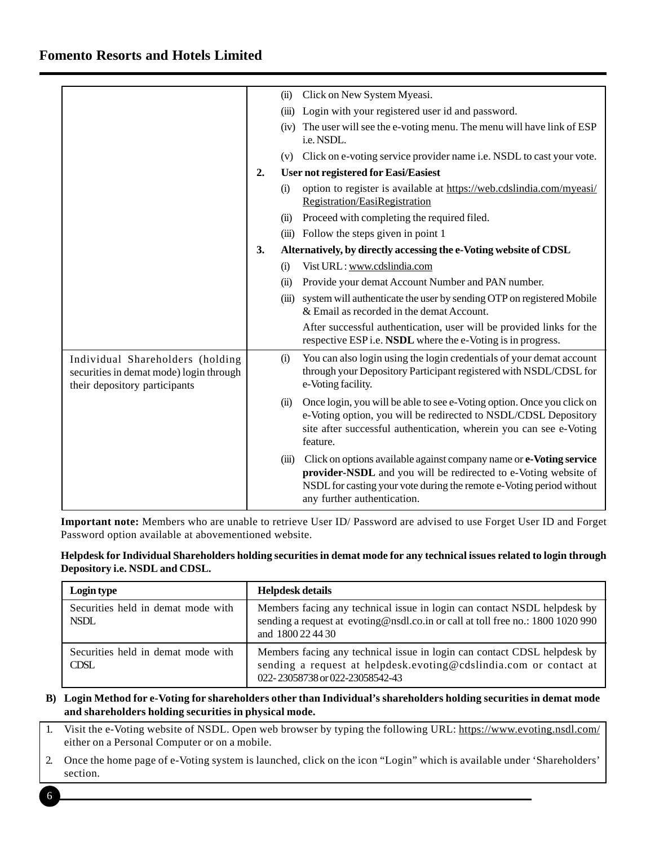# **Fomento Resorts and Hotels Limited**

|                                                                                                              |                                                   |       | (ii) Click on New System Myeasi.                                                                                                                                                                                                              |
|--------------------------------------------------------------------------------------------------------------|---------------------------------------------------|-------|-----------------------------------------------------------------------------------------------------------------------------------------------------------------------------------------------------------------------------------------------|
|                                                                                                              |                                                   |       | (iii) Login with your registered user id and password.                                                                                                                                                                                        |
|                                                                                                              |                                                   |       | (iv) The user will see the e-voting menu. The menu will have link of ESP<br>i.e. NSDL.                                                                                                                                                        |
|                                                                                                              |                                                   |       | (v) Click on e-voting service provider name i.e. NSDL to cast your vote.                                                                                                                                                                      |
|                                                                                                              | <b>User not registered for Easi/Easiest</b><br>2. |       |                                                                                                                                                                                                                                               |
|                                                                                                              |                                                   | (i)   | option to register is available at https://web.cdslindia.com/myeasi/<br>Registration/EasiRegistration                                                                                                                                         |
|                                                                                                              |                                                   | (ii)  | Proceed with completing the required filed.                                                                                                                                                                                                   |
|                                                                                                              |                                                   |       | (iii) Follow the steps given in point 1                                                                                                                                                                                                       |
|                                                                                                              | 3.                                                |       | Alternatively, by directly accessing the e-Voting website of CDSL                                                                                                                                                                             |
|                                                                                                              |                                                   | (i)   | Vist URL: www.cdslindia.com                                                                                                                                                                                                                   |
|                                                                                                              |                                                   | (ii)  | Provide your demat Account Number and PAN number.                                                                                                                                                                                             |
|                                                                                                              |                                                   |       | (iii) system will authenticate the user by sending OTP on registered Mobile<br>& Email as recorded in the demat Account.                                                                                                                      |
|                                                                                                              |                                                   |       | After successful authentication, user will be provided links for the<br>respective ESP i.e. NSDL where the e-Voting is in progress.                                                                                                           |
| Individual Shareholders (holding<br>securities in demat mode) login through<br>their depository participants |                                                   | (i)   | You can also login using the login credentials of your demat account<br>through your Depository Participant registered with NSDL/CDSL for<br>e-Voting facility.                                                                               |
|                                                                                                              |                                                   | (ii)  | Once login, you will be able to see e-Voting option. Once you click on<br>e-Voting option, you will be redirected to NSDL/CDSL Depository<br>site after successful authentication, wherein you can see e-Voting<br>feature.                   |
|                                                                                                              |                                                   | (iii) | Click on options available against company name or e-Voting service<br>provider-NSDL and you will be redirected to e-Voting website of<br>NSDL for casting your vote during the remote e-Voting period without<br>any further authentication. |

**Important note:** Members who are unable to retrieve User ID/ Password are advised to use Forget User ID and Forget Password option available at abovementioned website.

## **Helpdesk for Individual Shareholders holding securities in demat mode for any technical issues related to login through Depository i.e. NSDL and CDSL.**

| Login type                                        | <b>Helpdesk details</b>                                                                                                                                                          |
|---------------------------------------------------|----------------------------------------------------------------------------------------------------------------------------------------------------------------------------------|
| Securities held in demat mode with<br><b>NSDL</b> | Members facing any technical issue in login can contact NSDL helpdesk by<br>sending a request at evoting@nsdl.co.in or call at toll free no.: 1800 1020 990<br>and 1800 22 44 30 |
| Securities held in demat mode with<br><b>CDSL</b> | Members facing any technical issue in login can contact CDSL helpdesk by<br>sending a request at helpdesk.evoting@cdslindia.com or contact at<br>022-23058738 or 022-23058542-43 |

### **B) Login Method for e-Voting for shareholders other than Individual's shareholders holding securities in demat mode and shareholders holding securities in physical mode.**

- 1. Visit the e-Voting website of NSDL. Open web browser by typing the following URL: https://www.evoting.nsdl.com/ either on a Personal Computer or on a mobile.
- 2. Once the home page of e-Voting system is launched, click on the icon "Login" which is available under 'Shareholders' section.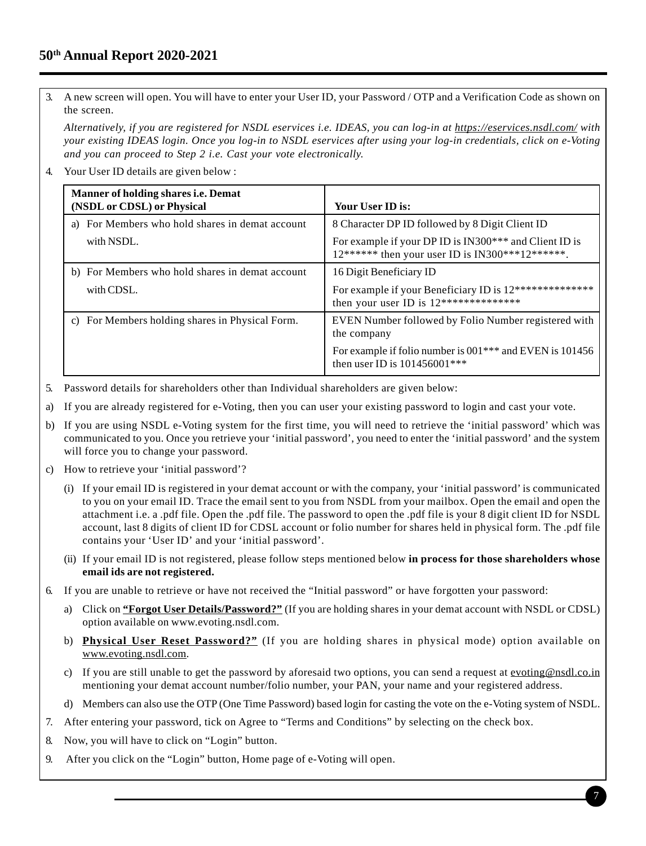# **50th Annual Report 2020-2021**

3. A new screen will open. You will have to enter your User ID, your Password / OTP and a Verification Code as shown on the screen.

*Alternatively, if you are registered for NSDL eservices i.e. IDEAS, you can log-in at https://eservices.nsdl.com/ with your existing IDEAS login. Once you log-in to NSDL eservices after using your log-in credentials, click on e-Voting and you can proceed to Step 2 i.e. Cast your vote electronically.*

4. Your User ID details are given below :

| <b>Manner of holding shares i.e. Demat</b><br>(NSDL or CDSL) or Physical | Your User ID is:                                                                                            |
|--------------------------------------------------------------------------|-------------------------------------------------------------------------------------------------------------|
| a) For Members who hold shares in demat account                          | 8 Character DP ID followed by 8 Digit Client ID                                                             |
| with NSDL.                                                               | For example if your DP ID is IN300*** and Client ID is<br>$12******$ then your user ID is IN300***12******. |
| b) For Members who hold shares in demat account                          | 16 Digit Beneficiary ID                                                                                     |
| with CDSL.                                                               | For example if your Beneficiary ID is 12***************<br>then your user ID is $12***************$         |
| c) For Members holding shares in Physical Form.                          | EVEN Number followed by Folio Number registered with<br>the company                                         |
|                                                                          | For example if folio number is 001 <sup>***</sup> and EVEN is 101456<br>then user ID is $101456001***$      |

- 5. Password details for shareholders other than Individual shareholders are given below:
- a) If you are already registered for e-Voting, then you can user your existing password to login and cast your vote.
- b) If you are using NSDL e-Voting system for the first time, you will need to retrieve the 'initial password' which was communicated to you. Once you retrieve your 'initial password', you need to enter the 'initial password' and the system will force you to change your password.
- c) How to retrieve your 'initial password'?
	- (i) If your email ID is registered in your demat account or with the company, your 'initial password' is communicated to you on your email ID. Trace the email sent to you from NSDL from your mailbox. Open the email and open the attachment i.e. a .pdf file. Open the .pdf file. The password to open the .pdf file is your 8 digit client ID for NSDL account, last 8 digits of client ID for CDSL account or folio number for shares held in physical form. The .pdf file contains your 'User ID' and your 'initial password'.
	- (ii) If your email ID is not registered, please follow steps mentioned below **in process for those shareholders whose email ids are not registered.**
- 6. If you are unable to retrieve or have not received the "Initial password" or have forgotten your password:
	- a) Click on **"Forgot User Details/Password?"** (If you are holding shares in your demat account with NSDL or CDSL) option available on www.evoting.nsdl.com.
	- b) **Physical User Reset Password?"** (If you are holding shares in physical mode) option available on www.evoting.nsdl.com.
	- c) If you are still unable to get the password by aforesaid two options, you can send a request at evoting@nsdl.co.in mentioning your demat account number/folio number, your PAN, your name and your registered address.
	- d) Members can also use the OTP (One Time Password) based login for casting the vote on the e-Voting system of NSDL.
- 7. After entering your password, tick on Agree to "Terms and Conditions" by selecting on the check box.
- 8. Now, you will have to click on "Login" button.
- 9. After you click on the "Login" button, Home page of e-Voting will open.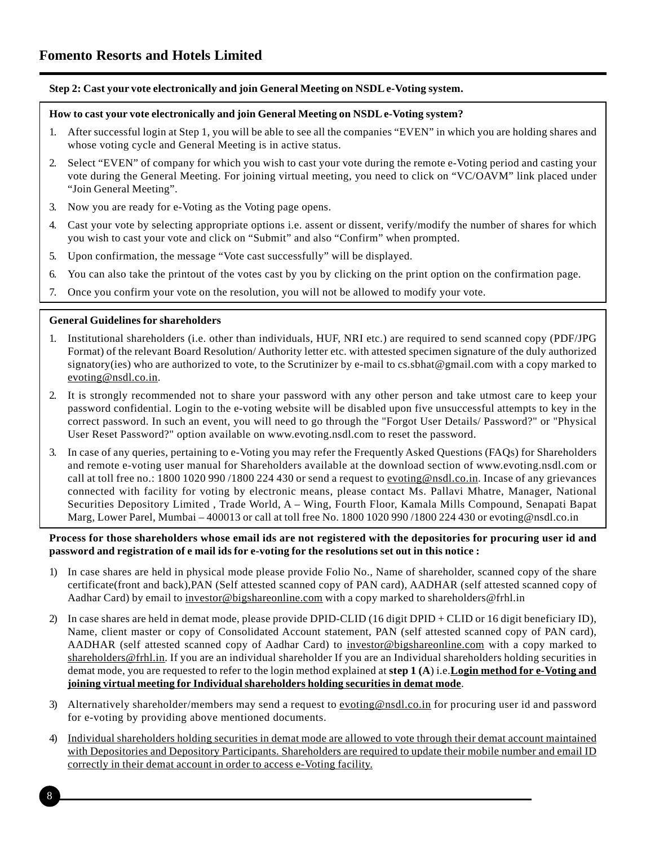## **Step 2: Cast your vote electronically and join General Meeting on NSDL e-Voting system.**

#### **How to cast your vote electronically and join General Meeting on NSDL e-Voting system?**

- 1. After successful login at Step 1, you will be able to see all the companies "EVEN" in which you are holding shares and whose voting cycle and General Meeting is in active status.
- 2. Select "EVEN" of company for which you wish to cast your vote during the remote e-Voting period and casting your vote during the General Meeting. For joining virtual meeting, you need to click on "VC/OAVM" link placed under "Join General Meeting".
- 3. Now you are ready for e-Voting as the Voting page opens.
- 4. Cast your vote by selecting appropriate options i.e. assent or dissent, verify/modify the number of shares for which you wish to cast your vote and click on "Submit" and also "Confirm" when prompted.
- 5. Upon confirmation, the message "Vote cast successfully" will be displayed.
- 6. You can also take the printout of the votes cast by you by clicking on the print option on the confirmation page.
- 7. Once you confirm your vote on the resolution, you will not be allowed to modify your vote.

### **General Guidelines for shareholders**

- 1. Institutional shareholders (i.e. other than individuals, HUF, NRI etc.) are required to send scanned copy (PDF/JPG Format) of the relevant Board Resolution/ Authority letter etc. with attested specimen signature of the duly authorized signatory(ies) who are authorized to vote, to the Scrutinizer by e-mail to cs.sbhat@gmail.com with a copy marked to evoting@nsdl.co.in.
- 2. It is strongly recommended not to share your password with any other person and take utmost care to keep your password confidential. Login to the e-voting website will be disabled upon five unsuccessful attempts to key in the correct password. In such an event, you will need to go through the "Forgot User Details/ Password?" or "Physical User Reset Password?" option available on www.evoting.nsdl.com to reset the password.
- 3. In case of any queries, pertaining to e-Voting you may refer the Frequently Asked Questions (FAQs) for Shareholders and remote e-voting user manual for Shareholders available at the download section of www.evoting.nsdl.com or call at toll free no.: 1800 1020 990 /1800 224 430 or send a request to evoting@nsdl.co.in. Incase of any grievances connected with facility for voting by electronic means, please contact Ms. Pallavi Mhatre, Manager, National Securities Depository Limited , Trade World, A – Wing, Fourth Floor, Kamala Mills Compound, Senapati Bapat Marg, Lower Parel, Mumbai – 400013 or call at toll free No. 1800 1020 990 /1800 224 430 or evoting@nsdl.co.in

### **Process for those shareholders whose email ids are not registered with the depositories for procuring user id and password and registration of e mail ids for e-voting for the resolutions set out in this notice :**

- 1) In case shares are held in physical mode please provide Folio No., Name of shareholder, scanned copy of the share certificate(front and back),PAN (Self attested scanned copy of PAN card), AADHAR (self attested scanned copy of Aadhar Card) by email to investor@bigshareonline.com with a copy marked to shareholders@frhl.in
- 2) In case shares are held in demat mode, please provide DPID-CLID (16 digit DPID + CLID or 16 digit beneficiary ID), Name, client master or copy of Consolidated Account statement, PAN (self attested scanned copy of PAN card), AADHAR (self attested scanned copy of Aadhar Card) to investor@bigshareonline.com with a copy marked to shareholders@frhl.in. If you are an individual shareholder If you are an Individual shareholders holding securities in demat mode, you are requested to refer to the login method explained at **step 1 (A**) i.e.**Login method for e-Voting and joining virtual meeting for Individual shareholders holding securities in demat mode**.
- 3) Alternatively shareholder/members may send a request to evoting@nsdl.co.in for procuring user id and password for e-voting by providing above mentioned documents.
- 4) Individual shareholders holding securities in demat mode are allowed to vote through their demat account maintained with Depositories and Depository Participants. Shareholders are required to update their mobile number and email ID correctly in their demat account in order to access e-Voting facility.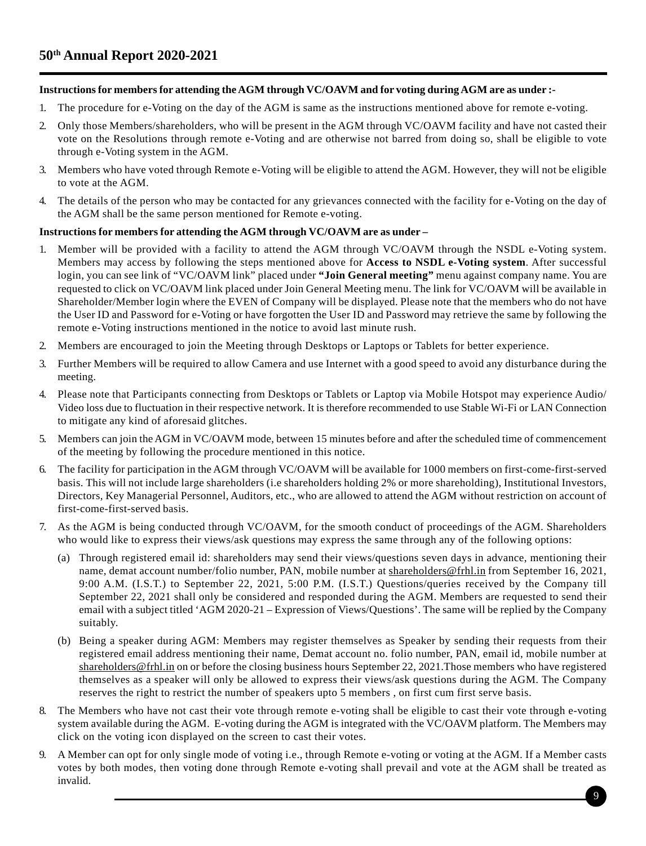## **Instructions for members for attending the AGM through VC/OAVM and for voting during AGM are as under :-**

- 1. The procedure for e-Voting on the day of the AGM is same as the instructions mentioned above for remote e-voting.
- 2. Only those Members/shareholders, who will be present in the AGM through VC/OAVM facility and have not casted their vote on the Resolutions through remote e-Voting and are otherwise not barred from doing so, shall be eligible to vote through e-Voting system in the AGM.
- 3. Members who have voted through Remote e-Voting will be eligible to attend the AGM. However, they will not be eligible to vote at the AGM.
- 4. The details of the person who may be contacted for any grievances connected with the facility for e-Voting on the day of the AGM shall be the same person mentioned for Remote e-voting.

## **Instructions for members for attending the AGM through VC/OAVM are as under –**

- 1. Member will be provided with a facility to attend the AGM through VC/OAVM through the NSDL e-Voting system. Members may access by following the steps mentioned above for **Access to NSDL e-Voting system**. After successful login, you can see link of "VC/OAVM link" placed under **"Join General meeting"** menu against company name. You are requested to click on VC/OAVM link placed under Join General Meeting menu. The link for VC/OAVM will be available in Shareholder/Member login where the EVEN of Company will be displayed. Please note that the members who do not have the User ID and Password for e-Voting or have forgotten the User ID and Password may retrieve the same by following the remote e-Voting instructions mentioned in the notice to avoid last minute rush.
- 2. Members are encouraged to join the Meeting through Desktops or Laptops or Tablets for better experience.
- 3. Further Members will be required to allow Camera and use Internet with a good speed to avoid any disturbance during the meeting.
- 4. Please note that Participants connecting from Desktops or Tablets or Laptop via Mobile Hotspot may experience Audio/ Video loss due to fluctuation in their respective network. It is therefore recommended to use Stable Wi-Fi or LAN Connection to mitigate any kind of aforesaid glitches.
- 5. Members can join the AGM in VC/OAVM mode, between 15 minutes before and after the scheduled time of commencement of the meeting by following the procedure mentioned in this notice.
- 6. The facility for participation in the AGM through VC/OAVM will be available for 1000 members on first-come-first-served basis. This will not include large shareholders (i.e shareholders holding 2% or more shareholding), Institutional Investors, Directors, Key Managerial Personnel, Auditors, etc., who are allowed to attend the AGM without restriction on account of first-come-first-served basis.
- 7. As the AGM is being conducted through VC/OAVM, for the smooth conduct of proceedings of the AGM. Shareholders who would like to express their views/ask questions may express the same through any of the following options:
	- (a) Through registered email id: shareholders may send their views/questions seven days in advance, mentioning their name, demat account number/folio number, PAN, mobile number at shareholders@frhl.in from September 16, 2021, 9:00 A.M. (I.S.T.) to September 22, 2021, 5:00 P.M. (I.S.T.) Questions/queries received by the Company till September 22, 2021 shall only be considered and responded during the AGM. Members are requested to send their email with a subject titled 'AGM 2020-21 – Expression of Views/Questions'. The same will be replied by the Company suitably.
	- (b) Being a speaker during AGM: Members may register themselves as Speaker by sending their requests from their registered email address mentioning their name, Demat account no. folio number, PAN, email id, mobile number at shareholders@frhl.in on or before the closing business hours September 22, 2021.Those members who have registered themselves as a speaker will only be allowed to express their views/ask questions during the AGM. The Company reserves the right to restrict the number of speakers upto 5 members , on first cum first serve basis.
- 8. The Members who have not cast their vote through remote e-voting shall be eligible to cast their vote through e-voting system available during the AGM. E-voting during the AGM is integrated with the VC/OAVM platform. The Members may click on the voting icon displayed on the screen to cast their votes.
- 9. A Member can opt for only single mode of voting i.e., through Remote e-voting or voting at the AGM. If a Member casts votes by both modes, then voting done through Remote e-voting shall prevail and vote at the AGM shall be treated as invalid.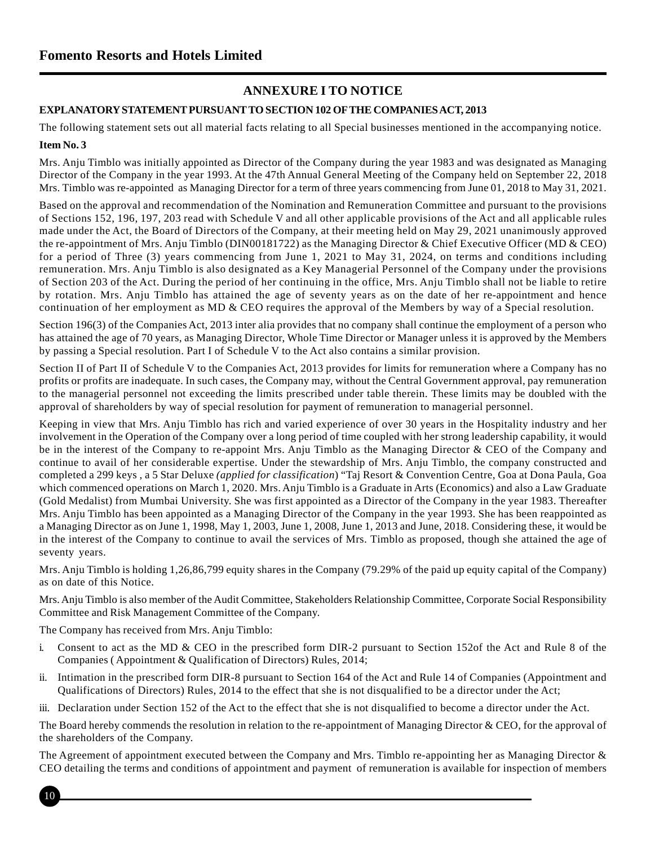# **ANNEXURE I TO NOTICE**

# **EXPLANATORY STATEMENT PURSUANT TO SECTION 102 OF THE COMPANIES ACT, 2013**

The following statement sets out all material facts relating to all Special businesses mentioned in the accompanying notice. **Item No. 3**

Mrs. Anju Timblo was initially appointed as Director of the Company during the year 1983 and was designated as Managing Director of the Company in the year 1993. At the 47th Annual General Meeting of the Company held on September 22, 2018 Mrs. Timblo was re-appointed as Managing Director for a term of three years commencing from June 01, 2018 to May 31, 2021.

Based on the approval and recommendation of the Nomination and Remuneration Committee and pursuant to the provisions of Sections 152, 196, 197, 203 read with Schedule V and all other applicable provisions of the Act and all applicable rules made under the Act, the Board of Directors of the Company, at their meeting held on May 29, 2021 unanimously approved the re-appointment of Mrs. Anju Timblo (DIN00181722) as the Managing Director & Chief Executive Officer (MD & CEO) for a period of Three (3) years commencing from June 1, 2021 to May 31, 2024, on terms and conditions including remuneration. Mrs. Anju Timblo is also designated as a Key Managerial Personnel of the Company under the provisions of Section 203 of the Act. During the period of her continuing in the office, Mrs. Anju Timblo shall not be liable to retire by rotation. Mrs. Anju Timblo has attained the age of seventy years as on the date of her re-appointment and hence continuation of her employment as MD & CEO requires the approval of the Members by way of a Special resolution.

Section 196(3) of the Companies Act, 2013 inter alia provides that no company shall continue the employment of a person who has attained the age of 70 years, as Managing Director, Whole Time Director or Manager unless it is approved by the Members by passing a Special resolution. Part I of Schedule V to the Act also contains a similar provision.

Section II of Part II of Schedule V to the Companies Act, 2013 provides for limits for remuneration where a Company has no profits or profits are inadequate. In such cases, the Company may, without the Central Government approval, pay remuneration to the managerial personnel not exceeding the limits prescribed under table therein. These limits may be doubled with the approval of shareholders by way of special resolution for payment of remuneration to managerial personnel.

Keeping in view that Mrs. Anju Timblo has rich and varied experience of over 30 years in the Hospitality industry and her involvement in the Operation of the Company over a long period of time coupled with her strong leadership capability, it would be in the interest of the Company to re-appoint Mrs. Anju Timblo as the Managing Director & CEO of the Company and continue to avail of her considerable expertise. Under the stewardship of Mrs. Anju Timblo, the company constructed and completed a 299 keys , a 5 Star Deluxe *(applied for classification*) "Taj Resort & Convention Centre, Goa at Dona Paula, Goa which commenced operations on March 1, 2020. Mrs. Anju Timblo is a Graduate in Arts (Economics) and also a Law Graduate (Gold Medalist) from Mumbai University. She was first appointed as a Director of the Company in the year 1983. Thereafter Mrs. Anju Timblo has been appointed as a Managing Director of the Company in the year 1993. She has been reappointed as a Managing Director as on June 1, 1998, May 1, 2003, June 1, 2008, June 1, 2013 and June, 2018. Considering these, it would be in the interest of the Company to continue to avail the services of Mrs. Timblo as proposed, though she attained the age of seventy years.

Mrs. Anju Timblo is holding 1,26,86,799 equity shares in the Company (79.29% of the paid up equity capital of the Company) as on date of this Notice.

Mrs. Anju Timblo is also member of the Audit Committee, Stakeholders Relationship Committee, Corporate Social Responsibility Committee and Risk Management Committee of the Company.

The Company has received from Mrs. Anju Timblo:

- i. Consent to act as the MD & CEO in the prescribed form DIR-2 pursuant to Section 152of the Act and Rule 8 of the Companies ( Appointment & Qualification of Directors) Rules, 2014;
- ii. Intimation in the prescribed form DIR-8 pursuant to Section 164 of the Act and Rule 14 of Companies (Appointment and Qualifications of Directors) Rules, 2014 to the effect that she is not disqualified to be a director under the Act;
- iii. Declaration under Section 152 of the Act to the effect that she is not disqualified to become a director under the Act.

The Board hereby commends the resolution in relation to the re-appointment of Managing Director & CEO, for the approval of the shareholders of the Company.

The Agreement of appointment executed between the Company and Mrs. Timblo re-appointing her as Managing Director & CEO detailing the terms and conditions of appointment and payment of remuneration is available for inspection of members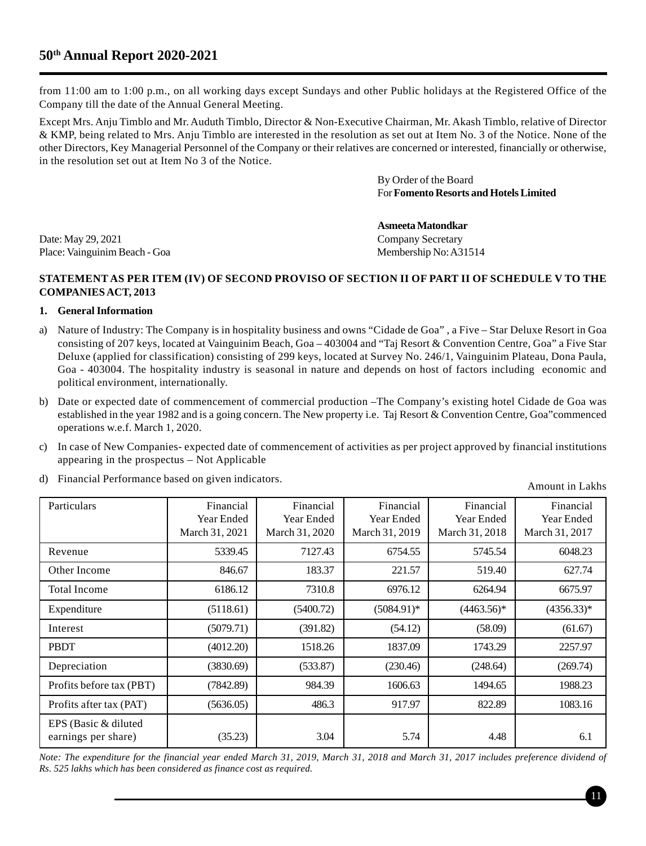# **50th Annual Report 2020-2021**

from 11:00 am to 1:00 p.m., on all working days except Sundays and other Public holidays at the Registered Office of the Company till the date of the Annual General Meeting.

Except Mrs. Anju Timblo and Mr. Auduth Timblo, Director & Non-Executive Chairman, Mr. Akash Timblo, relative of Director & KMP, being related to Mrs. Anju Timblo are interested in the resolution as set out at Item No. 3 of the Notice. None of the other Directors, Key Managerial Personnel of the Company or their relatives are concerned or interested, financially or otherwise, in the resolution set out at Item No 3 of the Notice.

> By Order of the Board For **Fomento Resorts and Hotels Limited**

Date: May 29, 2021 Company Secretary Place: Vainguinim Beach - Goa Membership No: A31514

**Asmeeta Matondkar**

### **STATEMENT AS PER ITEM (IV) OF SECOND PROVISO OF SECTION II OF PART II OF SCHEDULE V TO THE COMPANIES ACT, 2013**

#### **1. General Information**

- a) Nature of Industry: The Company is in hospitality business and owns "Cidade de Goa" , a Five Star Deluxe Resort in Goa consisting of 207 keys, located at Vainguinim Beach, Goa – 403004 and "Taj Resort & Convention Centre, Goa" a Five Star Deluxe (applied for classification) consisting of 299 keys, located at Survey No. 246/1, Vainguinim Plateau, Dona Paula, Goa - 403004. The hospitality industry is seasonal in nature and depends on host of factors including economic and political environment, internationally.
- b) Date or expected date of commencement of commercial production –The Company's existing hotel Cidade de Goa was established in the year 1982 and is a going concern. The New property i.e. Taj Resort & Convention Centre, Goa"commenced operations w.e.f. March 1, 2020.
- c) In case of New Companies- expected date of commencement of activities as per project approved by financial institutions appearing in the prospectus – Not Applicable
- d) Financial Performance based on given indicators.

Amount in Lakhs

| Particulars                                 | Financial<br>Year Ended<br>March 31, 2021 | Financial<br>Year Ended<br>March 31, 2020 | Financial<br>Year Ended<br>March 31, 2019 | Financial<br>Year Ended<br>March 31, 2018 | Financial<br>Year Ended<br>March 31, 2017 |
|---------------------------------------------|-------------------------------------------|-------------------------------------------|-------------------------------------------|-------------------------------------------|-------------------------------------------|
| Revenue                                     | 5339.45                                   | 7127.43                                   | 6754.55                                   | 5745.54                                   | 6048.23                                   |
| Other Income                                | 846.67                                    | 183.37                                    | 221.57                                    | 519.40                                    | 627.74                                    |
| <b>Total Income</b>                         | 6186.12                                   | 7310.8                                    | 6976.12                                   | 6264.94                                   | 6675.97                                   |
| Expenditure                                 | (5118.61)                                 | (5400.72)                                 | $(5084.91)^*$                             | $(4463.56)*$                              | $(4356.33)*$                              |
| Interest                                    | (5079.71)                                 | (391.82)                                  | (54.12)                                   | (58.09)                                   | (61.67)                                   |
| <b>PBDT</b>                                 | (4012.20)                                 | 1518.26                                   | 1837.09                                   | 1743.29                                   | 2257.97                                   |
| Depreciation                                | (3830.69)                                 | (533.87)                                  | (230.46)                                  | (248.64)                                  | (269.74)                                  |
| Profits before tax (PBT)                    | (7842.89)                                 | 984.39                                    | 1606.63                                   | 1494.65                                   | 1988.23                                   |
| Profits after tax (PAT)                     | (5636.05)                                 | 486.3                                     | 917.97                                    | 822.89                                    | 1083.16                                   |
| EPS (Basic & diluted<br>earnings per share) | (35.23)                                   | 3.04                                      | 5.74                                      | 4.48                                      | 6.1                                       |

*Note: The expenditure for the financial year ended March 31, 2019, March 31, 2018 and March 31, 2017 includes preference dividend of Rs. 525 lakhs which has been considered as finance cost as required.*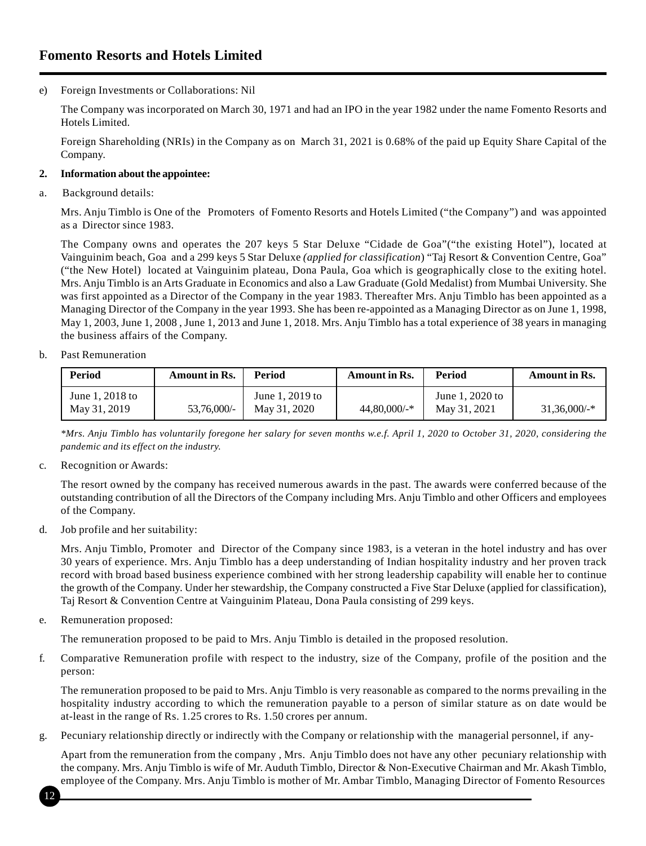e) Foreign Investments or Collaborations: Nil

The Company was incorporated on March 30, 1971 and had an IPO in the year 1982 under the name Fomento Resorts and Hotels Limited.

Foreign Shareholding (NRIs) in the Company as on March 31, 2021 is 0.68% of the paid up Equity Share Capital of the Company.

### **2. Information about the appointee:**

a. Background details:

Mrs. Anju Timblo is One of the Promoters of Fomento Resorts and Hotels Limited ("the Company") and was appointed as a Director since 1983.

The Company owns and operates the 207 keys 5 Star Deluxe "Cidade de Goa"("the existing Hotel"), located at Vainguinim beach, Goa and a 299 keys 5 Star Deluxe *(applied for classification*) "Taj Resort & Convention Centre, Goa" ("the New Hotel) located at Vainguinim plateau, Dona Paula, Goa which is geographically close to the exiting hotel. Mrs. Anju Timblo is an Arts Graduate in Economics and also a Law Graduate (Gold Medalist) from Mumbai University. She was first appointed as a Director of the Company in the year 1983. Thereafter Mrs. Anju Timblo has been appointed as a Managing Director of the Company in the year 1993. She has been re-appointed as a Managing Director as on June 1, 1998, May 1, 2003, June 1, 2008 , June 1, 2013 and June 1, 2018. Mrs. Anju Timblo has a total experience of 38 years in managing the business affairs of the Company.

b. Past Remuneration

| Period                          | Amount in Rs. | Period                          | <b>Amount in Rs.</b> | Period                          | <b>Amount in Rs.</b> |
|---------------------------------|---------------|---------------------------------|----------------------|---------------------------------|----------------------|
| June 1, 2018 to<br>May 31, 2019 | 53.76.000/-   | June 1, 2019 to<br>May 31, 2020 | $44,80,000/$ -*      | June 1, 2020 to<br>May 31, 2021 | $31.36,000/$ -*      |

*\*Mrs. Anju Timblo has voluntarily foregone her salary for seven months w.e.f. April 1, 2020 to October 31, 2020, considering the pandemic and its effect on the industry.*

c. Recognition or Awards:

The resort owned by the company has received numerous awards in the past. The awards were conferred because of the outstanding contribution of all the Directors of the Company including Mrs. Anju Timblo and other Officers and employees of the Company.

d. Job profile and her suitability:

Mrs. Anju Timblo, Promoter and Director of the Company since 1983, is a veteran in the hotel industry and has over 30 years of experience. Mrs. Anju Timblo has a deep understanding of Indian hospitality industry and her proven track record with broad based business experience combined with her strong leadership capability will enable her to continue the growth of the Company. Under her stewardship, the Company constructed a Five Star Deluxe (applied for classification), Taj Resort & Convention Centre at Vainguinim Plateau, Dona Paula consisting of 299 keys.

e. Remuneration proposed:

The remuneration proposed to be paid to Mrs. Anju Timblo is detailed in the proposed resolution.

f. Comparative Remuneration profile with respect to the industry, size of the Company, profile of the position and the person:

The remuneration proposed to be paid to Mrs. Anju Timblo is very reasonable as compared to the norms prevailing in the hospitality industry according to which the remuneration payable to a person of similar stature as on date would be at-least in the range of Rs. 1.25 crores to Rs. 1.50 crores per annum.

g. Pecuniary relationship directly or indirectly with the Company or relationship with the managerial personnel, if any-

Apart from the remuneration from the company , Mrs. Anju Timblo does not have any other pecuniary relationship with the company. Mrs. Anju Timblo is wife of Mr. Auduth Timblo, Director & Non-Executive Chairman and Mr. Akash Timblo, employee of the Company. Mrs. Anju Timblo is mother of Mr. Ambar Timblo, Managing Director of Fomento Resources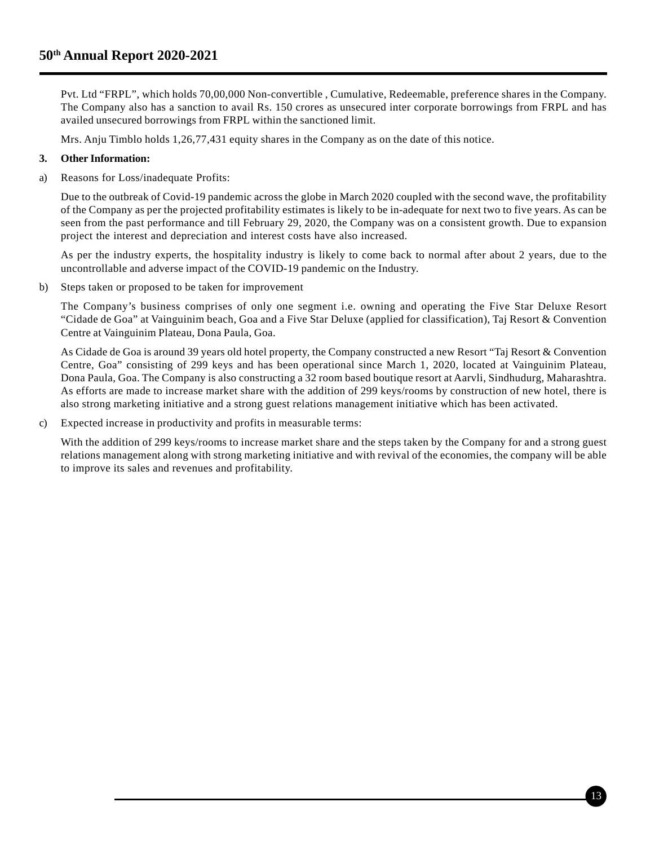Pvt. Ltd "FRPL", which holds 70,00,000 Non-convertible , Cumulative, Redeemable, preference shares in the Company. The Company also has a sanction to avail Rs. 150 crores as unsecured inter corporate borrowings from FRPL and has availed unsecured borrowings from FRPL within the sanctioned limit.

Mrs. Anju Timblo holds 1,26,77,431 equity shares in the Company as on the date of this notice.

### **3. Other Information:**

a) Reasons for Loss/inadequate Profits:

Due to the outbreak of Covid-19 pandemic across the globe in March 2020 coupled with the second wave, the profitability of the Company as per the projected profitability estimates is likely to be in-adequate for next two to five years. As can be seen from the past performance and till February 29, 2020, the Company was on a consistent growth. Due to expansion project the interest and depreciation and interest costs have also increased.

As per the industry experts, the hospitality industry is likely to come back to normal after about 2 years, due to the uncontrollable and adverse impact of the COVID-19 pandemic on the Industry.

b) Steps taken or proposed to be taken for improvement

The Company's business comprises of only one segment i.e. owning and operating the Five Star Deluxe Resort "Cidade de Goa" at Vainguinim beach, Goa and a Five Star Deluxe (applied for classification), Taj Resort & Convention Centre at Vainguinim Plateau, Dona Paula, Goa.

As Cidade de Goa is around 39 years old hotel property, the Company constructed a new Resort "Taj Resort & Convention Centre, Goa" consisting of 299 keys and has been operational since March 1, 2020, located at Vainguinim Plateau, Dona Paula, Goa. The Company is also constructing a 32 room based boutique resort at Aarvli, Sindhudurg, Maharashtra. As efforts are made to increase market share with the addition of 299 keys/rooms by construction of new hotel, there is also strong marketing initiative and a strong guest relations management initiative which has been activated.

c) Expected increase in productivity and profits in measurable terms:

With the addition of 299 keys/rooms to increase market share and the steps taken by the Company for and a strong guest relations management along with strong marketing initiative and with revival of the economies, the company will be able to improve its sales and revenues and profitability.